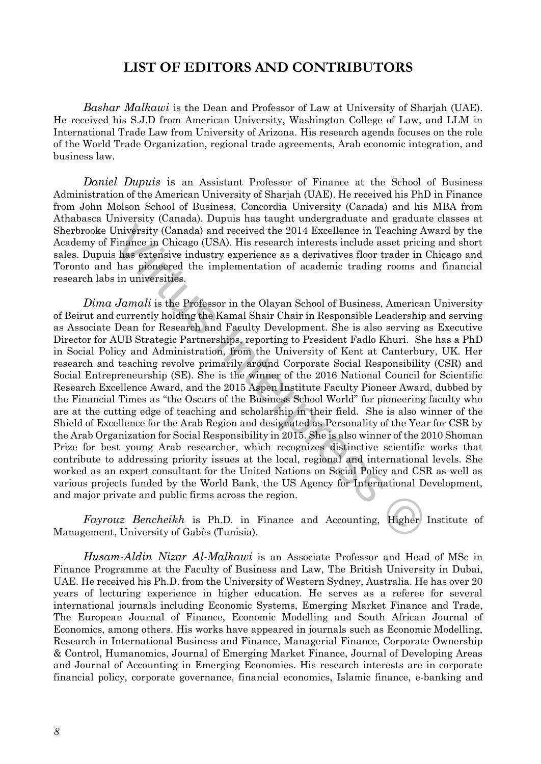## **LIST OF EDITORS AND CONTRIBUTORS**

*Bashar Malkawi* is the Dean and Professor of Law at University of Sharjah (UAE). He received his S.J.D from American University, Washington College of Law, and LLM in International Trade Law from University of Arizona. His research agenda focuses on the role of the World Trade Organization, regional trade agreements, Arab economic integration, and business law.

*Daniel Dupuis* is an Assistant Professor of Finance at the School of Business Administration of the American University of Sharjah (UAE). He received his PhD in Finance from John Molson School of Business, Concordia University (Canada) and his MBA from Athabasca University (Canada). Dupuis has taught undergraduate and graduate classes at Sherbrooke University (Canada) and received the 2014 Excellence in Teaching Award by the Academy of Finance in Chicago (USA). His research interests include asset pricing and short sales. Dupuis has extensive industry experience as a derivatives floor trader in Chicago and Toronto and has pioneered the implementation of academic trading rooms and financial research labs in universities.

University (Canada) and received the 2014 Excellence in Teaching Awingwins high and received the 2014 Excellence in Teaching Awingwise indefining community experience as a derivative floor trader in C has pronocered the i *Dima Jamali* is the Professor in the Olayan School of Business, American University of Beirut and currently holding the Kamal Shair Chair in Responsible Leadership and serving as Associate Dean for Research and Faculty Development. She is also serving as Executive Director for AUB Strategic Partnerships, reporting to President Fadlo Khuri. She has a PhD in Social Policy and Administration, from the University of Kent at Canterbury, UK. Her research and teaching revolve primarily around Corporate Social Responsibility (CSR) and Social Entrepreneurship (SE). She is the winner of the 2016 National Council for Scientific Research Excellence Award, and the 2015 Aspen Institute Faculty Pioneer Award, dubbed by the Financial Times as "the Oscars of the Business School World" for pioneering faculty who are at the cutting edge of teaching and scholarship in their field. She is also winner of the Shield of Excellence for the Arab Region and designated as Personality of the Year for CSR by the Arab Organization for Social Responsibility in 2015. She is also winner of the 2010 Shoman Prize for best young Arab researcher, which recognizes distinctive scientific works that contribute to addressing priority issues at the local, regional and international levels. She worked as an expert consultant for the United Nations on Social Policy and CSR as well as various projects funded by the World Bank, the US Agency for International Development, and major private and public firms across the region.

*Fayrouz Bencheikh* is Ph.D. in Finance and Accounting, Higher Institute of Management, University of Gabès (Tunisia).

*Husam-Aldin Nizar Al-Malkawi* is an Associate Professor and Head of MSc in Finance Programme at the Faculty of Business and Law, The British University in Dubai, UAE. He received his Ph.D. from the University of Western Sydney, Australia. He has over 20 years of lecturing experience in higher education. He serves as a referee for several international journals including Economic Systems, Emerging Market Finance and Trade, The European Journal of Finance, Economic Modelling and South African Journal of Economics, among others. His works have appeared in journals such as Economic Modelling, Research in International Business and Finance, Managerial Finance, Corporate Ownership & Control, Humanomics, Journal of Emerging Market Finance, Journal of Developing Areas and Journal of Accounting in Emerging Economies. His research interests are in corporate financial policy, corporate governance, financial economics, Islamic finance, e-banking and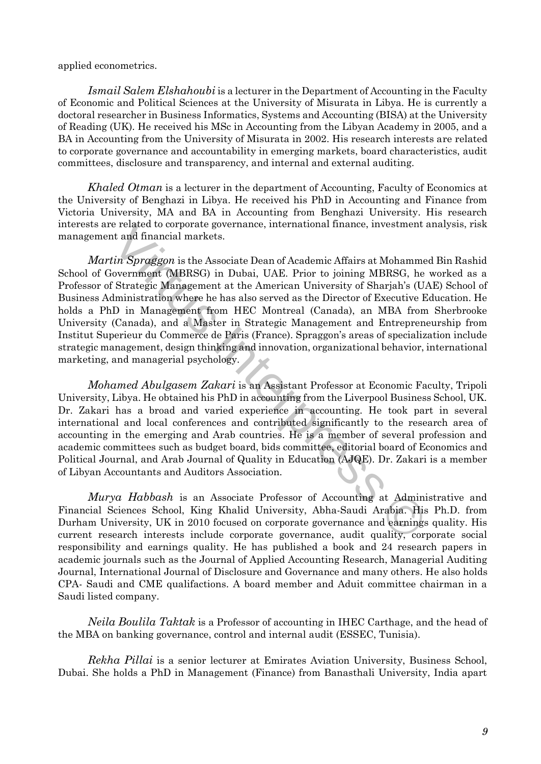applied econometrics.

*Ismail Salem Elshahoubi* is a lecturer in the Department of Accounting in the Faculty of Economic and Political Sciences at the University of Misurata in Libya. He is currently a doctoral researcher in Business Informatics, Systems and Accounting (BISA) at the University of Reading (UK). He received his MSc in Accounting from the Libyan Academy in 2005, and a BA in Accounting from the University of Misurata in 2002. His research interests are related to corporate governance and accountability in emerging markets, board characteristics, audit committees, disclosure and transparency, and internal and external auditing.

*Khaled Otman* is a lecturer in the department of Accounting, Faculty of Economics at the University of Benghazi in Libya. He received his PhD in Accounting and Finance from Victoria University, MA and BA in Accounting from Benghazi University. His research interests are related to corporate governance, international finance, investment analysis, risk management and financial markets.

related to corporate governance, international finance, investment at the related to corporate governance, international finance, investment at the financial markets.<br>
the Associate Dean of Academic Affairs at Mohammed (MB *Martin Spraggon* is the Associate Dean of Academic Affairs at Mohammed Bin Rashid School of Government (MBRSG) in Dubai, UAE. Prior to joining MBRSG, he worked as a Professor of Strategic Management at the American University of Sharjah's (UAE) School of Business Administration where he has also served as the Director of Executive Education. He holds a PhD in Management from HEC Montreal (Canada), an MBA from Sherbrooke University (Canada), and a Master in Strategic Management and Entrepreneurship from Institut Superieur du Commerce de Paris (France). Spraggon's areas of specialization include strategic management, design thinking and innovation, organizational behavior, international marketing, and managerial psychology.

*Mohamed Abulgasem Zakari* is an Assistant Professor at Economic Faculty, Tripoli University, Libya. He obtained his PhD in accounting from the Liverpool Business School, UK. Dr. Zakari has a broad and varied experience in accounting. He took part in several international and local conferences and contributed significantly to the research area of accounting in the emerging and Arab countries. He is a member of several profession and academic committees such as budget board, bids committee, editorial board of Economics and Political Journal, and Arab Journal of Quality in Education (AJQE). Dr. Zakari is a member of Libyan Accountants and Auditors Association.

*Murya Habbash* is an Associate Professor of Accounting at Administrative and Financial Sciences School, King Khalid University, Abha-Saudi Arabia. His Ph.D. from Durham University, UK in 2010 focused on corporate governance and earnings quality. His current research interests include corporate governance, audit quality, corporate social responsibility and earnings quality. He has published a book and 24 research papers in academic journals such as the Journal of Applied Accounting Research, Managerial Auditing Journal, International Journal of Disclosure and Governance and many others. He also holds CPA- Saudi and CME qualifactions. A board member and Aduit committee chairman in a Saudi listed company.

*Neila Boulila Taktak* is a Professor of accounting in IHEC Carthage, and the head of the MBA on banking governance, control and internal audit (ESSEC, Tunisia).

*Rekha Pillai* is a senior lecturer at Emirates Aviation University, Business School, Dubai. She holds a PhD in Management (Finance) from Banasthali University, India apart